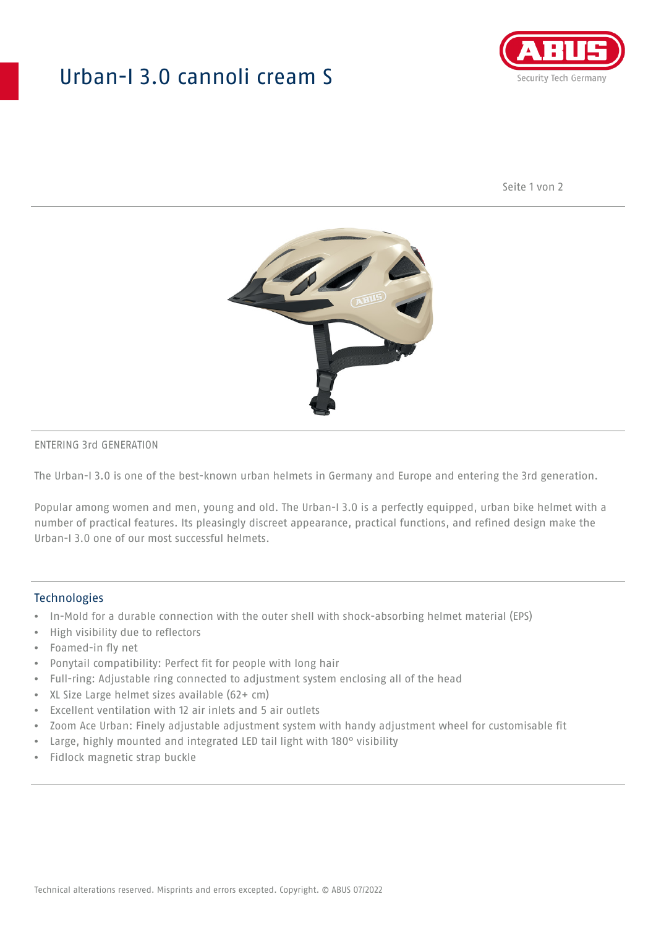## Urban-I 3.0 cannoli cream S



Seite 1 von 2



#### ENTERING 3rd GENERATION

The Urban-I 3.0 is one of the best-known urban helmets in Germany and Europe and entering the 3rd generation.

Popular among women and men, young and old. The Urban-I 3.0 is a perfectly equipped, urban bike helmet with a number of practical features. Its pleasingly discreet appearance, practical functions, and refined design make the Urban-I 3.0 one of our most successful helmets.

#### **Technologies**

- In-Mold for a durable connection with the outer shell with shock-absorbing helmet material (EPS)
- High visibility due to reflectors
- Foamed-in fly net
- Ponytail compatibility: Perfect fit for people with long hair
- Full-ring: Adjustable ring connected to adjustment system enclosing all of the head
- XL Size Large helmet sizes available (62+ cm)
- Excellent ventilation with 12 air inlets and 5 air outlets
- Zoom Ace Urban: Finely adjustable adjustment system with handy adjustment wheel for customisable fit
- Large, highly mounted and integrated LED tail light with 180° visibility
- Fidlock magnetic strap buckle